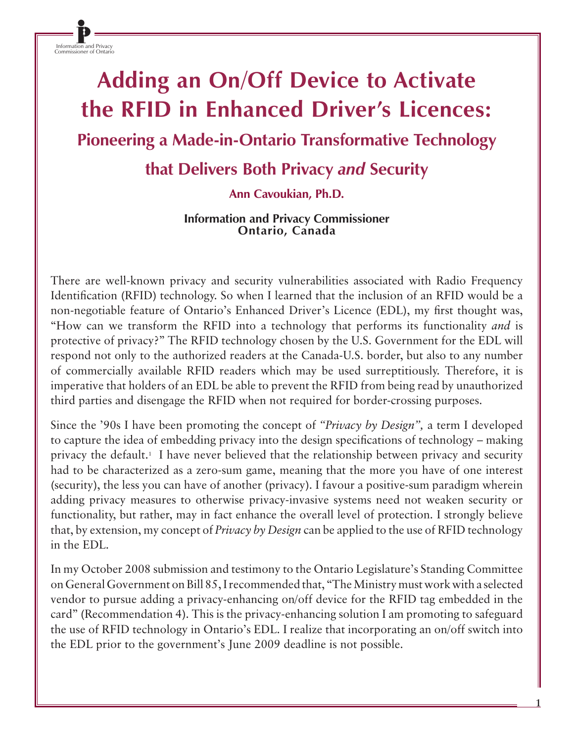Information and Privacy Commissioner of Ontario

# **Adding an On/Off Device to Activate the RFID in Enhanced Driver's Licences: Pioneering a Made-in-Ontario Transformative Technology**

## **that Delivers Both Privacy** *and* **Security**

### **Ann Cavoukian, Ph.D.**

#### **Information and Privacy Commissioner Ontario, Canada**

There are well-known privacy and security vulnerabilities associated with Radio Frequency Identification (RFID) technology. So when I learned that the inclusion of an RFID would be a non-negotiable feature of Ontario's Enhanced Driver's Licence (EDL), my first thought was, "How can we transform the RFID into a technology that performs its functionality *and* is protective of privacy?" The RFID technology chosen by the U.S. Government for the EDL will respond not only to the authorized readers at the Canada-U.S. border, but also to any number of commercially available RFID readers which may be used surreptitiously. Therefore, it is imperative that holders of an EDL be able to prevent the RFID from being read by unauthorized third parties and disengage the RFID when not required for border-crossing purposes.

Since the '90s I have been promoting the concept of *"Privacy by Design",* a term I developed to capture the idea of embedding privacy into the design specifications of technology – making privacy the default.1 I have never believed that the relationship between privacy and security had to be characterized as a zero-sum game, meaning that the more you have of one interest (security), the less you can have of another (privacy). I favour a positive-sum paradigm wherein adding privacy measures to otherwise privacy-invasive systems need not weaken security or functionality, but rather, may in fact enhance the overall level of protection. I strongly believe that, by extension, my concept of *Privacy by Design* can be applied to the use of RFID technology in the EDL.

In my October 2008 submission and testimony to the Ontario Legislature's Standing Committee on General Government on Bill 85, I recommended that, "The Ministry must work with a selected vendor to pursue adding a privacy-enhancing on/off device for the RFID tag embedded in the card" (Recommendation 4). This is the privacy-enhancing solution I am promoting to safeguard the use of RFID technology in Ontario's EDL. I realize that incorporating an on/off switch into the EDL prior to the government's June 2009 deadline is not possible.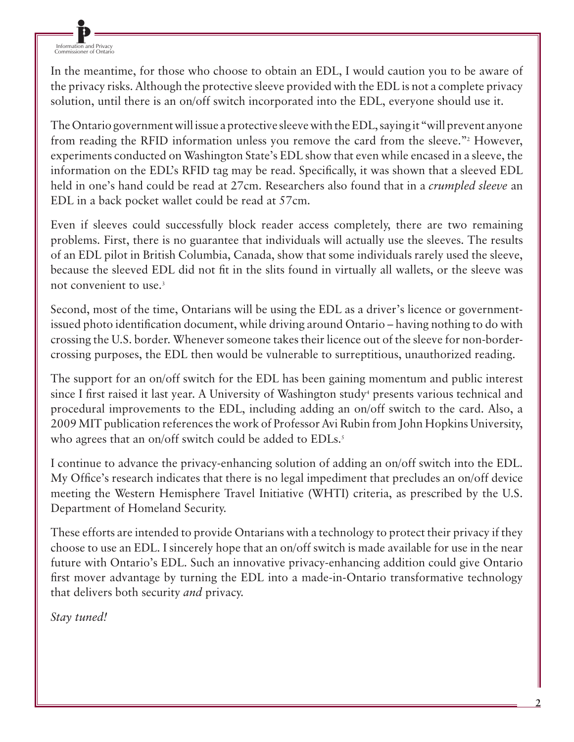Information and Privacy Commissioner of Ontario

In the meantime, for those who choose to obtain an EDL, I would caution you to be aware of the privacy risks. Although the protective sleeve provided with the EDL is not a complete privacy solution, until there is an on/off switch incorporated into the EDL, everyone should use it.

The Ontario government will issue a protective sleeve with the EDL, saying it "will prevent anyone from reading the RFID information unless you remove the card from the sleeve."<sup>2</sup> However, experiments conducted on Washington State's EDL show that even while encased in a sleeve, the information on the EDL's RFID tag may be read. Specifically, it was shown that a sleeved EDL held in one's hand could be read at 27cm. Researchers also found that in a *crumpled sleeve* an EDL in a back pocket wallet could be read at 57cm.

Even if sleeves could successfully block reader access completely, there are two remaining problems. First, there is no guarantee that individuals will actually use the sleeves. The results of an EDL pilot in British Columbia, Canada, show that some individuals rarely used the sleeve, because the sleeved EDL did not fit in the slits found in virtually all wallets, or the sleeve was not convenient to use.3

Second, most of the time, Ontarians will be using the EDL as a driver's licence or governmentissued photo identification document, while driving around Ontario – having nothing to do with crossing the U.S. border. Whenever someone takes their licence out of the sleeve for non-bordercrossing purposes, the EDL then would be vulnerable to surreptitious, unauthorized reading.

The support for an on/off switch for the EDL has been gaining momentum and public interest since I first raised it last year. A University of Washington study<sup>4</sup> presents various technical and procedural improvements to the EDL, including adding an on/off switch to the card. Also, a 2009 MIT publication references the work of Professor Avi Rubin from John Hopkins University, who agrees that an on/off switch could be added to EDLs.<sup>5</sup>

I continue to advance the privacy-enhancing solution of adding an on/off switch into the EDL. My Office's research indicates that there is no legal impediment that precludes an on/off device meeting the Western Hemisphere Travel Initiative (WHTI) criteria, as prescribed by the U.S. Department of Homeland Security.

These efforts are intended to provide Ontarians with a technology to protect their privacy if they choose to use an EDL. I sincerely hope that an on/off switch is made available for use in the near future with Ontario's EDL. Such an innovative privacy-enhancing addition could give Ontario first mover advantage by turning the EDL into a made-in-Ontario transformative technology that delivers both security *and* privacy.

*Stay tuned!*